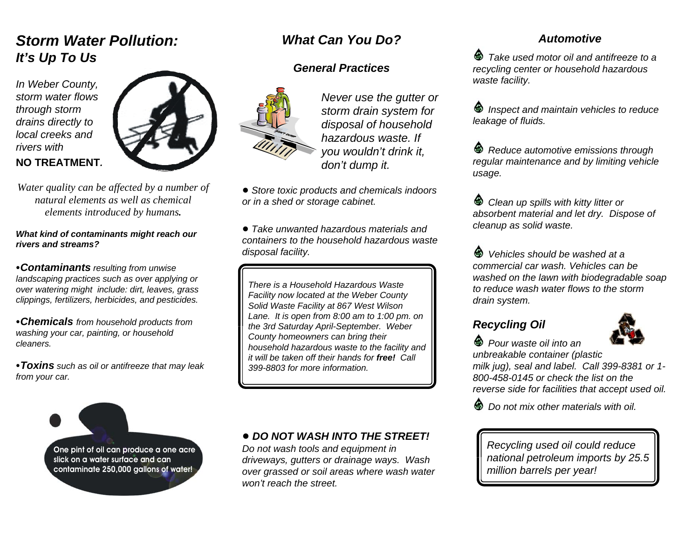## *Storm Water Pollution:It's Up To Us*

*In Weber County, storm water flowsthrough storm drains directly to local creeks and rivers with* **NO TREATMENT***.* 



*Water quality can be affected by a number of natural elements as well as chemicalelements introduced by humans.*

#### *What kind of contaminants might reach our rivers and streams?*

<sup>C</sup>*Contaminants resulting from unwise landscaping practices such as over applying or over watering might include: dirt, leaves, grass clippings, fertilizers, herbicides, and pesticides.*

C*Chemicals from household products from washing your car, painting, or household cleaners.*

<sup>C</sup>*Toxins such as oil or antifreeze that may leak from your car.*

> One pint of oil can produce a one acre slick on a water surface and can contaminate 250,000 gallons of water!

### *What Can You Do?*

#### *General Practices*



*Never use the gutter or storm drain system for disposal of household hazardous waste. Ifyou wouldn't drink it, don't dump it.*

! *Store toxic products and chemicals indoors or in a shed or storage cabinet.*

! *Take unwanted hazardous materials andcontainers to the household hazardous wastedisposal facility.*

*There is a Household Hazardous WasteFacility now located at the Weber County Solid Waste Facility at 867 West Wilson Lane. It is open from 8:00 am to 1:00 pm. on the 3rd Saturday April-September. Weber County homeowners can bring their household hazardous waste to the facility and it will be taken off their hands for free! Call399-8803 for more information.*

#### ! *DO NOT WASH INTO THE STREET!*

*Do not wash tools and equipment in driveways, gutters or drainage ways. Wash over grassed or soil areas where wash water won't reach the street.*

#### *Automotive*

 *Take used motor oil and antifreeze to arecycling center or household hazardous waste facility.*

 *Inspect and maintain vehicles to reduce leakage of fluids.*

 *Reduce automotive emissions through regular maintenance and by limiting vehicle usage.*

 *Clean up spills with kitty litter or absorbent material and let dry. Dispose of cleanup as solid waste.*

 *Vehicles should be washed at acommercial car wash. Vehicles can bewashed on the lawn with biodegradable soap to reduce wash water flows to the stormdrain system.*

### *Recycling Oil*

 *Pour waste oil into an*



*unbreakable container (plastic milk jug), seal and label. Call 399-8381 or 1- 800-458-0145 or check the list on thereverse side for facilities that accept used oil.*

⋒  *Do not mix other materials with oil.*

*Recycling used oil could reduce national petroleum imports by 25.5 million barrels per year!*